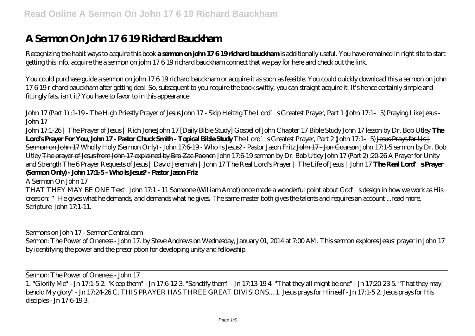## **A Sermon On John 17 6 19 Richard Bauckham**

Recognizing the habit ways to acquire this book **a sermon on john 17 6 19 richard bauckham** is additionally useful. You have remained in right site to start getting this info. acquire the a sermon on john 17 6 19 richard bauckham connect that we pay for here and check out the link.

You could purchase guide a sermon on john 17 6 19 richard bauckham or acquire it as soon as feasible. You could quickly download this a sermon on john 17 6 19 richard bauckham after getting deal. So, subsequent to you require the book swiftly, you can straight acquire it. It's hence certainly simple and fittingly fats, isn't it? You have to favor to in this appearance

John 17 (Part 1) :1-19 - The High Priestly Prayer of Jesus John 17 - Skip Heitzig The Lord's Greatest Prayer, Part 1 (John 17:1–5) *Praying Like Jesus - John 17*

John 17:1-26 | The Prayer of Jesus | Rich JonesJohn 17 [Daily Bible Study] Gospel of John Chapter 17 Bible Study John 17 lesson by Dr. Bob Utley **The** Lords Prayer For You, John 17 - Pastor Chuck Smith - Topical Bible Study *The Lord's Greatest Prayer, Part 2 (John 17:1–5)* Jesus Prays for Us | Sermon on John 17 *Wholly Holy (Sermon Only) - John 17:6-19 - Who Is Jesus? - Pastor Jason Fritz* John 17 - Jon Courson *John 17:1-5 sermon by Dr. Bob Utley* The prayer of Jesus from John 17 explained by Bro Zac Poonen *John 17:6-19 sermon by Dr. Bob Utley John 17 (Part 2) :20-26 A Prayer for Unity and Strength The 6 Prayer Requests of Jesus | David Jeremiah | John 17* The Real Lord's Prayer | The Life of Jesus | John 17 **The Real Lord's Prayer (Sermon Only) - John 17:1-5 - Who is Jesus? - Pastor Jason Friz**

A Sermon On John 17 THAT THEY MAY BE ONE Text : John 17:1 - 11 Someone (William Arnot) once made a wonderful point about God's design in how we work as His creation: "He gives what he demands, and demands what he gives. The same master both gives the talents and requires an account ...read more. Scripture: John 17:1-11.

Sermons on John 17 - SermonCentral.com Sermon: The Power of Oneness - John 17. by Steve Andrews on Wednesday, January 01, 2014 at 7:00 AM. This sermon explores Jesus' prayer in John 17 by identifying the power and the prescription for developing unity and fellowship.

Sermon: The Power of Oneness - John 17 1. "Glorify Me" - Jn 17:1-5 2. "Keep them" - Jn 17:6-12 3. "Sanctify them" - Jn 17:13-19 4. "That they all might be one" - Jn 17:20-23 5. "That they may behold My glory" - Jn 17:24-26 C. THIS PRAYER HAS THREE GREAT DIVISIONS... 1. Jesus prays for Himself - Jn 17:1-5 2. Jesus prays for His disciples - Jn 17:6-193.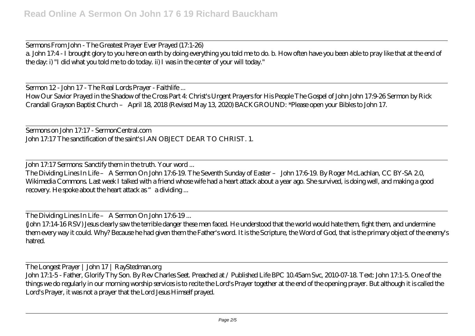Sermons From John - The Greatest Prayer Ever Prayed (17:1-26) a. John 17:4 - I brought glory to you here on earth by doing everything you told me to do. b. How often have you been able to pray like that at the end of the day: i) "I did what you told me to do today. ii) I was in the center of your will today."

Sermon 12 - John 17 - The Real Lords Prayer - Faithlife ...

How Our Savior Prayed in the Shadow of the Cross Part 4: Christ's Urgent Prayers for His People The Gospel of John John 17:9-26 Sermon by Rick Crandall Grayson Baptist Church – April 18, 2018 (Revised May 13, 2020) BACKGROUND: \*Please open your Bibles to John 17.

Sermons on John 17:17 - SermonCentral.com John 17:17 The sanctification of the saint's I.AN OBJECT DEAR TO CHRIST. 1.

John 17:17 Sermons: Sanctify them in the truth. Your word ...

The Dividing Lines In Life – A Sermon On John 17:6-19. The Seventh Sunday of Easter – John 17:6-19. By Roger McLachlan, CC BY-SA 2.0, Wikimedia Commons. Last week I talked with a friend whose wife had a heart attack about a year ago. She survived, is doing well, and making a good recovery. He spoke about the heart attack as "a dividing ...

The Dividing Lines In Life – A Sermon On John 17:6-19 ...

(John 17:14-16 RSV) Jesus clearly saw the terrible danger these men faced. He understood that the world would hate them, fight them, and undermine them every way it could. Why? Because he had given them the Father's word. It is the Scripture, the Word of God, that is the primary object of the enemy's hatred.

The Longest Prayer | John 17 | RayStedman.org John 17:1-5 - Father, Glorify Thy Son. By Rev Charles Seet. Preached at / Published Life BPC 10.45am Svc, 2010-07-18. Text: John 17:1-5. One of the things we do regularly in our morning worship services is to recite the Lord's Prayer together at the end of the opening prayer. But although it is called the Lord's Prayer, it was not a prayer that the Lord Jesus Himself prayed.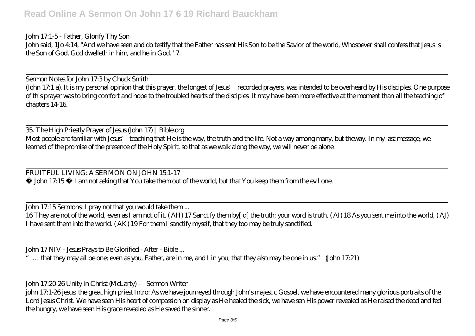John 17:1-5 - Father, Glorify Thy Son John said, 1Jo 4:14, "And we have seen and do testify that the Father has sent His Son to be the Savior of the world, Whosoever shall confess that Jesus is the Son of God, God dwelleth in him, and he in God." 7.

Sermon Notes for John 17:3 by Chuck Smith (John 17:1 a). It is my personal opinion that this prayer, the longest of Jesus' recorded prayers, was intended to be overheard by His disciples. One purpose of this prayer was to bring comfort and hope to the troubled hearts of the disciples. It may have been more effective at the moment than all the teaching of chapters 14-16.

35. The High Priestly Prayer of Jesus (John 17) | Bible.org Most people are familiar with Jesus' teaching that He is the way, the truth and the life. Not a way among many, but theway. In my last message, we learned of the promise of the presence of the Holy Spirit, so that as we walk along the way, we will never be alone.

FRUITFUL LIVING: A SERMON ON JOHN 15:1-17 ◄ John 17:15 ► I am not asking that You take them out of the world, but that You keep them from the evil one.

John 17:15 Sermons: I pray not that you would take them ...

16 They are not of the world, even as I am not of it. ( AH) 17 Sanctify them by[ d] the truth; your word is truth. ( AI) 18 As you sent me into the world, ( AJ) I have sent them into the world. ( AK) 19 For them I sanctify myself, that they too may be truly sanctified.

John 17 NIV - Jesus Prays to Be Glorified - After - Bible ...

... that they may all be one; even as you, Father, are in me, and I in you, that they also may be one in us." (John 17:21)

John 17:20-26 Unity in Christ (McLarty) – Sermon Writer

john 17:1-26 jesus: the great high priest Intro: As we have journeyed through John's majestic Gospel, we have encountered many glorious portraits of the Lord Jesus Christ. We have seen His heart of compassion on display as He healed the sick, we have sen His power revealed as He raised the dead and fed the hungry, we have seen His grace revealed as He saved the sinner.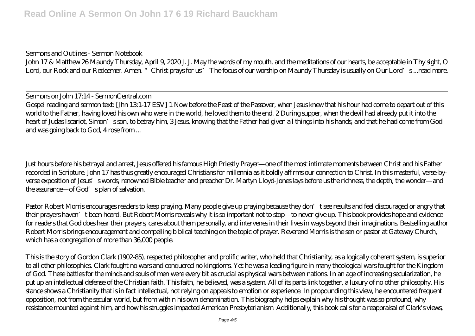Sermons and Outlines - Sermon Notebook John 17 & Matthew 26 Maundy Thursday, April 9, 2020 J. J. May the words of my mouth, and the meditations of our hearts, be acceptable in Thy sight, O Lord, our Rock and our Redeemer. Amen. "Christ prays for us" The focus of our worship on Maundy Thursday is usually on Our Lord's ...read more.

Sermons on John 17:14 - SermonCentral.com Gospel reading and sermon text: [Jhn 131-17 ESV] 1 Now before the Feast of the Passover, when Jesus knew that his hour had come to depart out of this world to the Father, having loved his own who were in the world, he loved them to the end. 2 During supper, when the devil had already put it into the heart of Judas Iscariot, Simon's son, to betray him, 3 Jesus, knowing that the Father had given all things into his hands, and that he had come from God and was going back to God, 4 rose from ...

Just hours before his betrayal and arrest, Jesus offered his famous High Priestly Prayer—one of the most intimate moments between Christ and his Father recorded in Scripture. John 17 has thus greatly encouraged Christians for millennia as it boldly affirms our connection to Christ. In this masterful, verse-byverse exposition of Jesus's words, renowned Bible teacher and preacher Dr. Martyn Lloyd-Jones lays before us the richness, the depth, the wonder—and the assurance—of God's plan of salvation.

Pastor Robert Morris encourages readers to keep praying. Many people give up praying because they don't see results and feel discouraged or angry that their prayers haven't been heard. But Robert Morris reveals why it is so important not to stop—to never give up. This book provides hope and evidence for readers that God does hear their prayers, cares about them personally, and intervenes in their lives in ways beyond their imaginations. Bestselling author Robert Morris brings encouragement and compelling biblical teaching on the topic of prayer. Reverend Morris is the senior pastor at Gateway Church, which has a congregation of more than 36,000 people.

This is the story of Gordon Clark (1902-85), respected philosopher and prolific writer, who held that Christianity, as a logically coherent system, is superior to all other philosophies. Clark fought no wars and conquered no kingdoms. Yet he was a leading figure in many theological wars fought for the Kingdom of God. These battles for the minds and souls of men were every bit as crucial as physical wars between nations. In an age of increasing secularization, he put up an intellectual defense of the Christian faith. This faith, he believed, was a system. All of its parts link together, a luxury of no other philosophy. His stance shows a Christianity that is in fact intellectual, not relying on appeals to emotion or experience. In propounding this view, he encountered frequent opposition, not from the secular world, but from within his own denomination. This biography helps explain why his thought was so profound, why resistance mounted against him, and how his struggles impacted American Presbyterianism. Additionally, this book calls for a reappraisal of Clark's views,